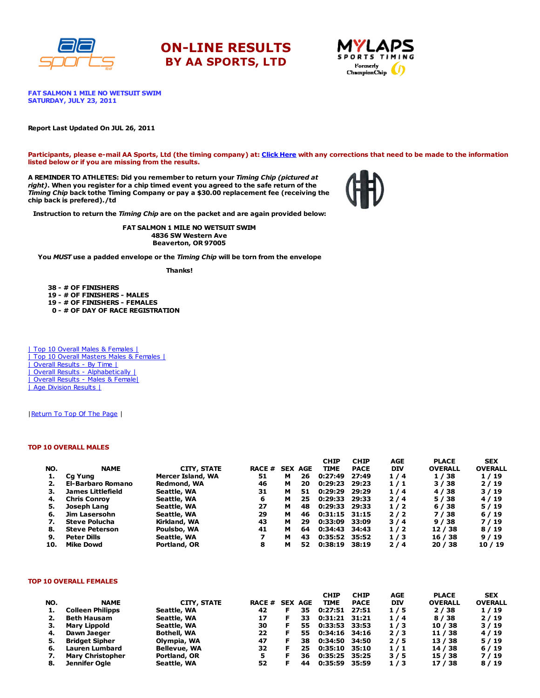





FAT SALMON 1 MILE NO WETSUIT SWIM SATURDAY, JULY 23, 2011

#### Report Last Updated On JUL 26, 2011

Participants, please e-mail AA Sports, Ltd (the timing company) at: Click [Here](http://www.racecenter.com/aa-sports-results-inquiry/) with any corrections that need to be made to the information listed below or if you are missing from the results.

A REMINDER TO ATHLETES: Did you remember to return your Timing Chip (pictured at right). When you register for a chip timed event you agreed to the safe return of the Timing Chip back tothe Timing Company or pay a \$30.00 replacement fee (receiving the chip back is prefered)./td



Instruction to return the Timing Chip are on the packet and are again provided below:

FAT SALMON 1 MILE NO WETSUIT SWIM 4836 SW Western Ave Beaverton, OR 97005

You MUST use a padded envelope or the Timing Chip will be torn from the envelope

Thanks!

 - # OF FINISHERS - # OF FINISHERS - MALES - # OF FINISHERS - FEMALES - # OF DAY OF RACE REGISTRATION

| Top 10 Overall Males & Females | | Top 10 Overall Masters Males & Females | | Overall Results - By Time | | Overall Results - [Alphabetically](http://www.racecenter.com/results/2011/res_s1al11.htm) | | Overall Results - Males & [Female|](http://www.racecenter.com/results/2011/res_s1og11.htm) | Age [Division](http://www.racecenter.com/results/2011/res_s1ag11.htm) Results |

| Return To Top Of The Page |

#### TOP 10 OVERALL MALES

|     |                          |                   |                       |   |    | <b>CHIP</b>     | <b>CHIP</b> | AGE        | <b>PLACE</b>   | <b>SEX</b>     |
|-----|--------------------------|-------------------|-----------------------|---|----|-----------------|-------------|------------|----------------|----------------|
| NO. | <b>NAME</b>              | CITY, STATE       | <b>RACE # SEX AGE</b> |   |    | <b>TIME</b>     | <b>PACE</b> | <b>DIV</b> | <b>OVERALL</b> | <b>OVERALL</b> |
| 1.  | Cg Yung                  | Mercer Island, WA | 51                    | м | 26 | 0:27:49         | 27:49       | 1/4        | 1/38           | 1/19           |
|     | <b>El-Barbaro Romano</b> | Redmond, WA       | 46                    | м | 20 | 0:29:23         | 29:23       | 1/1        | 3/38           | 2/19           |
| з.  | <b>James Littlefield</b> | Seattle, WA       | 31                    | м | 51 | 0:29:29         | 29:29       | 1/4        | 4/38           | 3/19           |
| 4.  | <b>Chris Conroy</b>      | Seattle, WA       | 6                     | м | 25 | 0:29:33         | 29:33       | 2/4        | 5/38           | 4/19           |
| 5.  | Joseph Lang              | Seattle, WA       | 27                    | м | 48 | 0:29:33         | 29:33       | 1/2        | 6/38           | 5/19           |
| 6.  | Jim Lasersohn            | Seattle, WA       | 29                    | м | 46 | $0:31:15$ 31:15 |             | 2/2        | 7/38           | 6/19           |
| 7.  | <b>Steve Polucha</b>     | Kirkland, WA      | 43                    | м | 29 | 0:33:09         | 33:09       | 3/4        | 9/38           | 7/19           |
| 8.  | <b>Steve Peterson</b>    | Poulsbo, WA       | 41                    | м | 64 | 0:34:43         | 34:43       | 1/2        | 12/38          | 8/19           |
| 9.  | <b>Peter Dills</b>       | Seattle, WA       |                       | м | 43 | 0:35:52 35:52   |             | 1/3        | 16 / 38        | 9/19           |
| 10. | Mike Dowd                | Portland, OR      |                       | м | 52 | 0:38:19         | 38:19       | 2/4        | 20/38          | 10/19          |

#### TOP 10 OVERALL FEMALES

|     |                         |                     |        |                | <b>CHIP</b>   | <b>CHIP</b> | AGE        | <b>PLACE</b>   | <b>SEX</b>     |
|-----|-------------------------|---------------------|--------|----------------|---------------|-------------|------------|----------------|----------------|
| NO. | <b>NAME</b>             | CITY, STATE         | RACE # | <b>SEX AGE</b> | <b>TIME</b>   | <b>PACE</b> | <b>DIV</b> | <b>OVERALL</b> | <b>OVERALL</b> |
|     | <b>Colleen Philipps</b> | Seattle, WA         | 42     | 35             | 0:27:51 27:51 |             | 1/5        | 2/38           | 1/19           |
|     | <b>Beth Hausam</b>      | Seattle, WA         | 17     | 33             | 0:31:21 31:21 |             | 1/4        | 8/38           | 2/19           |
|     | Mary Lippold            | Seattle, WA         | 30     | 55.            | 0:33:53 33:53 |             | 1/3        | 10/38          | 3/19           |
| 4.  | Dawn Jaeger             | <b>Bothell, WA</b>  | 22     | 55.            | 0:34:16 34:16 |             | 2/3        | 11 / 38        | 4/19           |
|     | <b>Bridget Sipher</b>   | Olympia, WA         | 47     | 38             | 0:34:50 34:50 |             | 2/5        | 13 / 38        | 5/19           |
| 6.  | <b>Lauren Lumbard</b>   | <b>Bellevue, WA</b> | 32     | 25.            | 0:35:10       | 35:10       | 1/1        | 14 / 38        | 6/19           |
|     | <b>Mary Christopher</b> | Portland, OR        |        | 36             | 0:35:25       | 35:25       | 3/5        | 15 / 38        | 7/19           |
| 8.  | Jennifer Oale           | Seattle, WA         | 52     | 44             | 0:35:59       | 35:59       | 1/3        | 17 / 38        | 8/19           |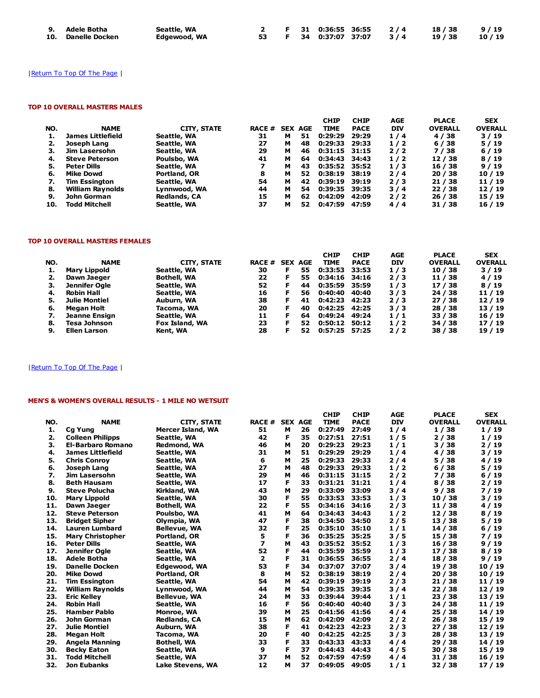| 9. Adele Botha     | Seattle, WA  |  |  | 2 F 31 0:36:55 36:55 2/4 |                             | 18/38 9/19      |  |
|--------------------|--------------|--|--|--------------------------|-----------------------------|-----------------|--|
| 10. Danelle Docken | Edgewood, WA |  |  |                          | 53 F 34 0:37:07 37:07 3 / 4 | 19 / 38 10 / 19 |  |

# | Return To Top Of The Page |

## TOP 10 OVERALL MASTERS MALES

|     |                         |                    |               |   |                | <b>CHIP</b>     | <b>CHIP</b> | AGE        | <b>PLACE</b>   | <b>SEX</b>     |
|-----|-------------------------|--------------------|---------------|---|----------------|-----------------|-------------|------------|----------------|----------------|
| NO. | <b>NAME</b>             | <b>CITY, STATE</b> | <b>RACE #</b> |   | <b>SEX AGE</b> | <b>TIME</b>     | <b>PACE</b> | <b>DIV</b> | <b>OVERALL</b> | <b>OVERALL</b> |
|     | James Littlefield       | Seattle, WA        | 31            | м | 51             | 0:29:29         | 29:29       | 1/4        | 4/38           | 3/19           |
| 2.  | Joseph Lang             | Seattle, WA        | 27            | м | 48             | 0:29:33         | 29:33       | 1/2        | 6/38           | 5/19           |
| з.  | Jim Lasersohn           | Seattle, WA        | 29            | м | 46             | $0:31:15$ 31:15 |             | 2/2        | 7 / 38         | 6/19           |
| 4.  | <b>Steve Peterson</b>   | Poulsbo, WA        | 41            | м | 64             | 0:34:43         | 34:43       | 1/2        | 12/38          | 8/19           |
| 5.  | <b>Peter Dills</b>      | Seattle, WA        |               | м | 43             | 0:35:52 35:52   |             | 1/3        | 16 / 38        | 9/19           |
| 6.  | Mike Dowd               | Portland, OR       | 8             | м | 52             | 0:38:19         | 38:19       | 2/4        | 20/38          | 10/19          |
| 7.  | <b>Tim Essington</b>    | Seattle, WA        | 54            | м | 42             | 0:39:19         | 39:19       | 2/3        | 21/38          | 11/19          |
| 8.  | <b>William Raynolds</b> | Lynnwood, WA       | 44            | м | 54             | 0:39:35 39:35   |             | 3/4        | 22/38          | 12/19          |
| 9.  | John Gorman             | Redlands, CA       | 15            | м | 62             | 0:42:09         | 42:09       | 2/2        | 26/38          | 15 / 19        |
| 10. | <b>Todd Mitchell</b>    | Seattle, WA        | 37            | м | 52             | 0:47:59         | 47:59       | 4/4        | 31/38          | 16 / 19        |

## TOP 10 OVERALL MASTERS FEMALES

|     |                   |                    |                |    |    | <b>CHIP</b>     | <b>CHIP</b> | AGE | <b>PLACE</b>   | <b>SEX</b>     |
|-----|-------------------|--------------------|----------------|----|----|-----------------|-------------|-----|----------------|----------------|
| NO. | <b>NAME</b>       | CITY, STATE        | RACE # SEX AGE |    |    | <b>TIME</b>     | <b>PACE</b> | DIV | <b>OVERALL</b> | <b>OVERALL</b> |
|     | Mary Lippold      | Seattle, WA        | 30             |    | 55 | 0:33:53         | 33:53       | 1/3 | 10/38          | 3/19           |
|     | Dawn Jaeger       | <b>Bothell, WA</b> | 22             |    | 55 | 0:34:16         | 34:16       | 2/3 | 11 / 38        | 4/19           |
| з.  | Jennifer Oale     | Seattle, WA        | 52             |    | 44 | 0:35:59         | 35:59       | 1/3 | 17 / 38        | 8/19           |
| 4.  | <b>Robin Hall</b> | Seattle, WA        | 16             |    | 56 | 0:40:40         | 40:40       | 3/3 | 24/38          | 11/19          |
| 5.  | Julie Montiel     | Auburn, WA         | 38             | F. | 41 | 0:42:23         | 42:23       | 2/3 | 27/38          | 12/19          |
| 6.  | Megan Holt        | Tacoma, WA         | 20             |    | 40 | $0:42:25$ 42:25 |             | 3/3 | 28/38          | 13/19          |
| 7.  | Jeanne Ensign     | Seattle, WA        | 11             |    | 64 | 0:49:24         | 49:24       | 1/1 | 33/38          | 16/19          |
| 8.  | Tesa Johnson      | Fox Island, WA     | 23             |    | 52 | 0:50:12         | 50:12       | 1/2 | 34/38          | 17 / 19        |
| 9.  | Ellen Larson      | Kent, WA           | 28             |    | 52 | $0:57:25$ 57:25 |             | 2/2 | 38 / 38        | 19 / 19        |

## | Return To Top Of The Page |

### MEN'S & WOMEN'S OVERALL RESULTS - 1 MILE NO WETSUIT

|     |                          |                          |               |                |    | <b>CHIP</b> | <b>CHIP</b> | <b>AGE</b> | <b>PLACE</b>   | <b>SEX</b>     |
|-----|--------------------------|--------------------------|---------------|----------------|----|-------------|-------------|------------|----------------|----------------|
| NO. | <b>NAME</b>              | <b>CITY, STATE</b>       | <b>RACE #</b> | <b>SEX AGE</b> |    | <b>TIME</b> | <b>PACE</b> | <b>DIV</b> | <b>OVERALL</b> | <b>OVERALL</b> |
| 1.  | <b>Cg Yung</b>           | <b>Mercer Island, WA</b> | 51            | м              | 26 | 0:27:49     | 27:49       | 1/4        | 1/38           | 1/19           |
| 2.  | <b>Colleen Philipps</b>  | Seattle, WA              | 42            | F              | 35 | 0:27:51     | 27:51       | 1/5        | 2/38           | 1/19           |
| з.  | <b>El-Barbaro Romano</b> | Redmond, WA              | 46            | M              | 20 | 0:29:23     | 29:23       | 1/1        | 3/38           | 2/19           |
| 4.  | <b>James Littlefield</b> | Seattle, WA              | 31            | м              | 51 | 0:29:29     | 29:29       | 1/4        | 4/38           | 3/19           |
| 5.  | <b>Chris Conroy</b>      | Seattle, WA              | 6             | м              | 25 | 0:29:33     | 29:33       | 2/4        | 5/38           | 4/19           |
| 6.  | Joseph Lang              | Seattle, WA              | 27            | м              | 48 | 0:29:33     | 29:33       | 1/2        | 6/38           | 5/19           |
| 7.  | Jim Lasersohn            | Seattle, WA              | 29            | M              | 46 | 0:31:15     | 31:15       | 2/2        | 7/38           | 6/19           |
| 8.  | <b>Beth Hausam</b>       | Seattle, WA              | 17            | F              | 33 | 0:31:21     | 31:21       | 1/4        | 8/38           | 2/19           |
| 9.  | <b>Steve Polucha</b>     | Kirkland, WA             | 43            | M              | 29 | 0:33:09     | 33:09       | 3/4        | 9/38           | 7 / 19         |
| 10. | <b>Mary Lippold</b>      | Seattle, WA              | 30            | F              | 55 | 0:33:53     | 33:53       | 1/3        | 10/38          | 3/19           |
| 11. | Dawn Jaeger              | <b>Bothell, WA</b>       | 22            | F              | 55 | 0:34:16     | 34:16       | 2/3        | 11 / 38        | 4/19           |
| 12. | <b>Steve Peterson</b>    | Poulsbo, WA              | 41            | M              | 64 | 0:34:43     | 34:43       | 1/2        | 12/38          | 8/19           |
| 13. | <b>Bridget Sipher</b>    | Olympia, WA              | 47            | F              | 38 | 0:34:50     | 34:50       | 2/5        | 13 / 38        | 5/19           |
| 14. | <b>Lauren Lumbard</b>    | <b>Bellevue, WA</b>      | 32            | F              | 25 | 0:35:10     | 35:10       | 1/1        | 14/38          | 6/19           |
| 15. | <b>Mary Christopher</b>  | Portland, OR             | 5             | F              | 36 | 0:35:25     | 35:25       | 3/5        | 15 / 38        | 7/19           |
| 16. | <b>Peter Dills</b>       | Seattle, WA              | 7             | М              | 43 | 0:35:52     | 35:52       | 1/3        | 16 / 38        | 9/19           |
| 17. | Jennifer Ogle            | Seattle, WA              | 52            | F              | 44 | 0:35:59     | 35:59       | 1/3        | 17/38          | 8/19           |
| 18. | <b>Adele Botha</b>       | Seattle, WA              | 2             | F              | 31 | 0:36:55     | 36:55       | 2/4        | 18 / 38        | 9/19           |
| 19. | <b>Danelle Docken</b>    | Edgewood, WA             | 53            | F              | 34 | 0:37:07     | 37:07       | 3/4        | 19 / 38        | 10/19          |
| 20. | <b>Mike Dowd</b>         | Portland, OR             | 8             | М              | 52 | 0:38:19     | 38:19       | 2/4        | 20/38          | 10 / 19        |
| 21. | <b>Tim Essington</b>     | Seattle, WA              | 54            | м              | 42 | 0:39:19     | 39:19       | 2/3        | 21/38          | 11/19          |
| 22. | <b>William Raynolds</b>  | Lynnwood, WA             | 44            | м              | 54 | 0:39:35     | 39:35       | 3/4        | 22/38          | 12/19          |
| 23. | <b>Eric Kellev</b>       | <b>Bellevue, WA</b>      | 24            | м              | 33 | 0:39:44     | 39:44       | 1/1        | 23/38          | 13/19          |
| 24. | <b>Robin Hall</b>        | Seattle, WA              | 16            | F              | 56 | 0:40:40     | 40:40       | 3/3        | 24 / 38        | 11 / 19        |
| 25. | <b>Hamber Pablo</b>      | Monroe, WA               | 39            | M              | 25 | 0:41:56     | 41:56       | 4/4        | 25/38          | 14/19          |
| 26. | John Gorman              | <b>Redlands, CA</b>      | 15            | м              | 62 | 0:42:09     | 42:09       | 2/2        | 26/38          | 15 / 19        |
| 27. | <b>Julie Montiel</b>     | Auburn, WA               | 38            | F              | 41 | 0:42:23     | 42:23       | 2/3        | 27/38          | 12/19          |
| 28. | Megan Holt               | Tacoma, WA               | 20            | F              | 40 | 0:42:25     | 42:25       | 3/3        | 28 / 38        | 13/19          |
| 29. | <b>Angela Manning</b>    | <b>Bothell, WA</b>       | 33            | F              | 33 | 0:43:33     | 43:33       | 4/4        | 29 / 38        | 14 / 19        |
| 30. | <b>Becky Eaton</b>       | Seattle, WA              | 9             | F              | 37 | 0:44:43     | 44:43       | 4/5        | 30/38          | 15/19          |
| 31. | <b>Todd Mitchell</b>     | Seattle, WA              | 37            | м              | 52 | 0:47:59     | 47:59       | 4/4        | 31 / 38        | 16 / 19        |
| 32. | <b>Jon Eubanks</b>       | Lake Stevens, WA         | 12            | м              | 37 | 0:49:05     | 49:05       | 1/1        | 32 / 38        | 17 / 19        |